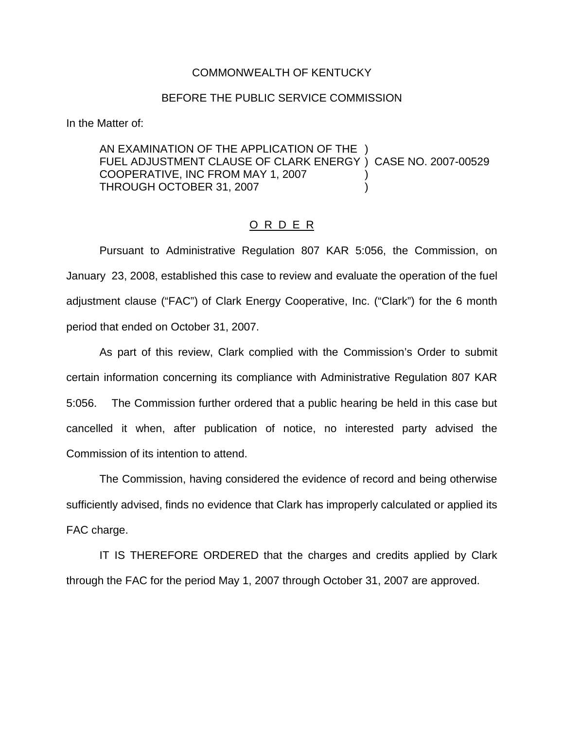## COMMONWEALTH OF KENTUCKY

## BEFORE THE PUBLIC SERVICE COMMISSION

In the Matter of:

AN EXAMINATION OF THE APPLICATION OF THE ) FUEL ADJUSTMENT CLAUSE OF CLARK ENERGY ) CASE NO. 2007-00529 COOPERATIVE, INC FROM MAY 1, 2007 THROUGH OCTOBER 31, 2007 (2007)

## O R D E R

Pursuant to Administrative Regulation 807 KAR 5:056, the Commission, on January 23, 2008, established this case to review and evaluate the operation of the fuel adjustment clause ("FAC") of Clark Energy Cooperative, Inc. ("Clark") for the 6 month period that ended on October 31, 2007.

As part of this review, Clark complied with the Commission's Order to submit certain information concerning its compliance with Administrative Regulation 807 KAR 5:056. The Commission further ordered that a public hearing be held in this case but cancelled it when, after publication of notice, no interested party advised the Commission of its intention to attend.

The Commission, having considered the evidence of record and being otherwise sufficiently advised, finds no evidence that Clark has improperly calculated or applied its FAC charge.

IT IS THEREFORE ORDERED that the charges and credits applied by Clark through the FAC for the period May 1, 2007 through October 31, 2007 are approved.